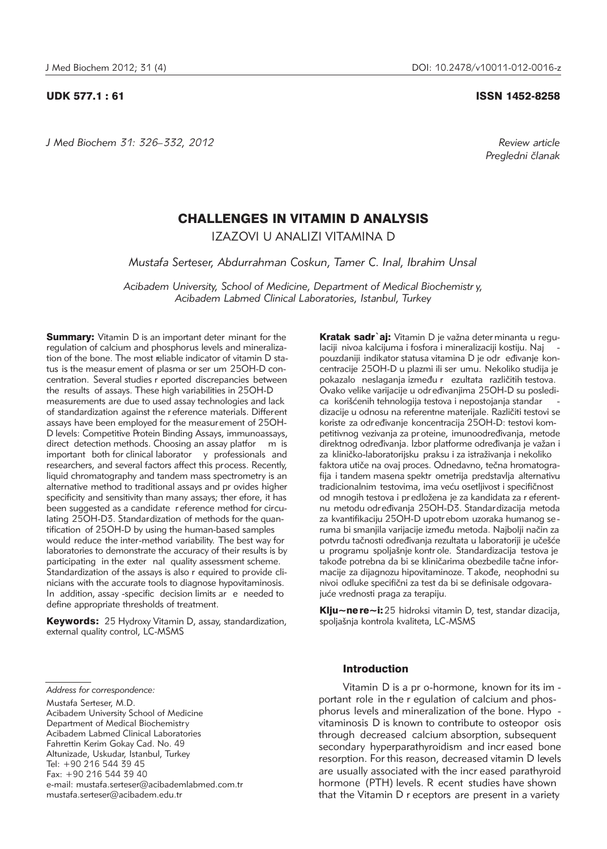*J Med Biochem 31: 326–332, 2012 Review article*

# UDK 577.1 : 61 ISSN 1452-8258

*Pregledni ~lanak*

# CHALLENGES IN VITAMIN D ANALYSIS

IZAZOVI U ANALIZI VITAMINA D

*Mustafa Serteser, Abdurrahman Coskun, Tamer C. Inal, Ibrahim Unsal*

*Acibadem University, School of Medicine, Department of Medical Biochemistr y, Acibadem Labmed Clinical Laboratories, Istanbul, Turkey*

**Summary:** Vitamin D is an important deter minant for the regulation of calcium and phosphorus levels and mineralization of the bone. The most reliable indicator of vitamin D status is the measur ement of plasma or ser um 25OH-D concentration. Several studies r eported discrepancies between the results of assays. These high variabilities in 25OH-D measurements are due to used assay technologies and lack of standardization against the r eference materials. Different assays have been employed for the measurement of 25OH-D levels: Competitive Protein Binding Assays, immunoassays, direct detection methods. Choosing an assay platfor m is important both for clinical laborator y professionals and researchers, and several factors affect this process. Recently, liquid chromatography and tandem mass spectrometry is an alternative method to traditional assays and pr ovides higher specificity and sensitivity than many assays; ther efore, it has been suggested as a candidate r eference method for circulating 25OH-D3. Standardization of methods for the quantification of 25OH-D by using the human-based samples would reduce the inter-method variability. The best way for laboratories to demonstrate the accuracy of their results is by participating in the exter nal quality assessment scheme. Standardization of the assays is also r equired to provide clinicians with the accurate tools to diagnose hypovitaminosis. In addition, assay -specific decision limits ar e needed to define appropriate thresholds of treatment.

Keywords: 25 Hydroxy Vitamin D, assay, standardization, external quality control, LC-MSMS

Mustafa Serteser, M.D. Acibadem University School of Medicine Department of Medical Biochemistry Acibadem Labmed Clinical Laboratories Fahrettin Kerim Gokay Cad. No. 49 Altunizade, Uskudar, Istanbul, Turkey Tel: +90 216 544 39 45 Fax: +90 216 544 39 40 e-mail: mustafa.serteser@acibademlabmed.com.tr mustafa.serteser@acibadem.edu.tr

Kratak sadr`aj: Vitamin D je važna deter minanta u regulaciji nivoa kalcijuma i fosfora i mineralizaciji kostiju. Naj pouzdaniji indikator statusa vitamina D je odr eđivanje koncentracije 25OH-D u plazmi ili ser umu. Nekoliko studija je pokazalo neslaganja između r ezultata različitih testova. .<br>Ovako velike varijacije u određivanjima 25OH-D su posledica korišćenih tehnologija testova i nepostojanja standar dizacije u odnosu na referentne materijale. Različiti testovi se koriste za određivanje koncentracija 25OH-D: testovi kompetitivnog vezivanja za pr oteine, imunoodređivanja, metode direktnog određivanja. Izbor platforme određivanja je važan i za kliničko-laboratorijsku praksu i za istraživanja i nekoliko faktora utiče na ovaj proces. Odnedavno, tečna hromatografija i tandem masena spektr ometrija predstavlja alternativu tradicionalnim testovima, ima veću osetljivost i specifičnost od mnogih testova i pr edložena je za kandidata za r eferentnu metodu određivanja 25OH-D3. Standardizacija metoda za kvantifikaciju 25OH-D upotr ebom uzoraka humanog se ruma bi smanjila varijacije između metoda. Najbolji način za potvrdu tačnosti određivanja rezultata u laboratoriji je učešće u programu spolja{nje kontr ole. Standardizacija testova je takođe potrebna da bi se kliničarima obezbedile tačne informacije za dijagnozu hipovitaminoze. Takođe, neophodni su nivoi odluke specifični za test da bi se definisale odgovarajuće vrednosti praga za terapiju.

Klju~ne re~i: 25 hidroksi vitamin D, test, standar dizacija, spoljašnja kontrola kvaliteta, LC-MSMS

# Introduction

Vitamin D is a pr o-hormone, known for its im portant role in the r egulation of calcium and phosphorus levels and mineralization of the bone. Hypo vitaminosis D is known to contribute to osteopor osis through decreased calcium absorption, subsequent secondary hyperparathyroidism and increased bone resorption. For this reason, decreased vitamin D levels are usually associated with the incr eased parathyroid hormone (PTH) levels. R ecent studies have shown that the Vitamin D r eceptors are present in a variety

*Address for correspondence:*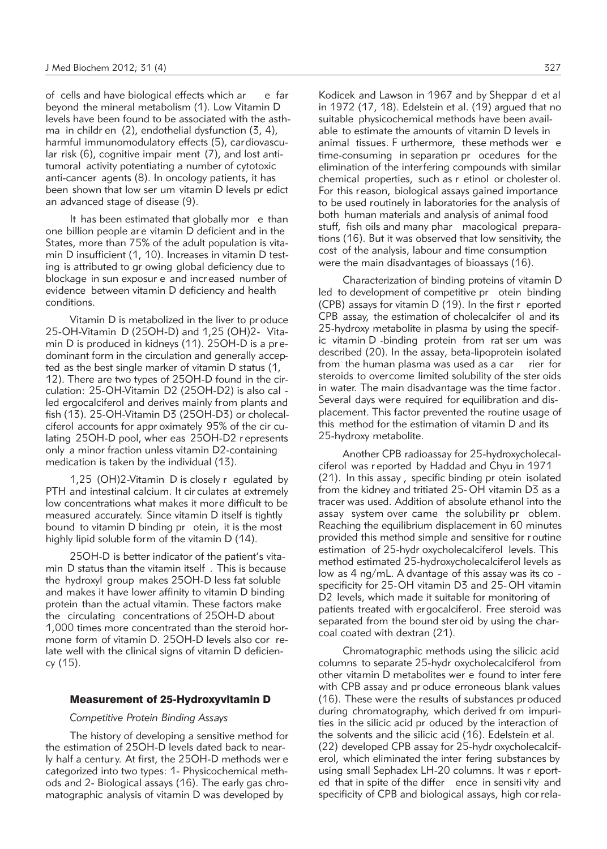of cells and have biological effects which ar e far beyond the mineral metabolism (1). Low Vitamin D levels have been found to be associated with the asthma in childr en (2), endothelial dysfunction (3, 4), harmful immunomodulatory effects (5), cardiovascular risk (6), cognitive impair ment (7), and lost antitumoral activity potentiating a number of cytotoxic anti-cancer agents (8). In oncology patients, it has been shown that low ser um vitamin D levels pr edict an advanced stage of disease (9).

It has been estimated that globally mor e than one billion people ar e vitamin D deficient and in the States, more than 75% of the adult population is vitamin D insufficient (1, 10). Increases in vitamin D testing is attributed to gr owing global deficiency due to blockage in sun exposur e and incr eased number of evidence between vitamin D deficiency and health conditions.

Vitamin D is metabolized in the liver to pr oduce 25-OH-Vitamin D (25OH-D) and 1,25 (OH)2- Vita min D is produced in kidneys (11). 25OH-D is a predominant form in the circulation and generally accepted as the best single marker of vitamin D status (1, 12). There are two types of 25OH-D found in the circulation: 25-OH-Vitamin D2 (25OH-D2) is also cal led ergocalciferol and derives mainly from plants and fish (13). 25-OH-Vitamin D3 (25OH-D3) or cholecalciferol accounts for appr oximately 95% of the cir culating 25OH-D pool, wher eas 25OH-D2 r epresents only a minor fraction unless vitamin D2-containing medication is taken by the individual (13).

1,25 (OH)2-Vitamin D is closely r egulated by PTH and intestinal calcium. It cir culates at extremely low concentrations what makes it more difficult to be measured accurately. Since vitamin D itself is tightly bound to vitamin D binding pr otein, it is the most highly lipid soluble form of the vitamin D (14).

25OH-D is better indicator of the patient's vitamin D status than the vitamin itself . This is because the hydroxyl group makes 25OH-D less fat soluble and makes it have lower affinity to vitamin D binding protein than the actual vitamin. These factors make the circulating concentrations of 25OH-D about 1,000 times more concentrated than the steroid hormone form of vitamin D. 25OH-D levels also cor relate well with the clinical signs of vitamin D deficiency (15).

### Measurement of 25-Hydroxyvitamin D

### *Competitive Protein Binding Assays*

The history of developing a sensitive method for the estimation of 25OH-D levels dated back to nearly half a centur y. At first, the 25OH-D methods wer e categorized into two types: 1- Physicochemical methods and 2- Biological assays (16). The early gas chromatographic analysis of vitamin D was developed by

Kodicek and Lawson in 1967 and by Sheppar d et al in 1972 (17, 18). Edelstein et al. (19) argued that no suitable physicochemical methods have been available to estimate the amounts of vitamin D levels in animal tissues. F urthermore, these methods wer e time-consuming in separation pr ocedures for the elimination of the interfering compounds with similar chemical properties, such as r etinol or cholester ol. For this reason, biological assays gained importance to be used routinely in laboratories for the analysis of both human materials and analysis of animal food stuff, fish oils and many phar macological preparations (16). But it was observed that low sensitivity, the cost of the analysis, labour and time consumption were the main disadvantages of bioassays (16).

Characterization of binding proteins of vitamin D led to development of competitive pr otein binding (CPB) assays for vitamin D (19). In the first r eported CPB assay, the estimation of cholecalcifer ol and its 25-hydroxy metabolite in plasma by using the specific vitamin D -binding protein from rat ser um was described (20). In the assay, beta-lipoprotein isolated from the human plasma was used as a car rier for steroids to overcome limited solubility of the ster oids in water. The main disadvantage was the time factor . Several days were required for equilibration and displacement. This factor prevented the routine usage of this method for the estimation of vitamin D and its 25-hydroxy metabolite.

Another CPB radioassay for 25-hydroxycholecalciferol was r eported by Haddad and Chyu in 1971 (21). In this assay , specific binding pr otein isolated from the kidney and tritiated 25- OH vitamin D3 as a tracer was used. Addition of absolute ethanol into the assay system over came the solubility pr oblem. Reaching the equilibrium displacement in 60 minutes provided this method simple and sensitive for r outine estimation of 25-hydr oxycholecalciferol levels. This method estimated 25-hydroxycholecalciferol levels as low as 4 ng/mL. A dvantage of this assay was its co specificity for 25-OH vitamin D3 and 25-OH vitamin D2 levels, which made it suitable for monitoring of patients treated with ergocalciferol. Free steroid was separated from the bound ster oid by using the charcoal coated with dextran (21).

Chromatographic methods using the silicic acid columns to separate 25-hydr oxycholecalciferol from other vitamin D metabolites wer e found to inter fere with CPB assay and pr oduce erroneous blank values (16). These were the results of substances produced during chromatography, which derived fr om impurities in the silicic acid pr oduced by the interaction of the solvents and the silicic acid (16). Edelstein et al. (22) developed CPB assay for 25-hydr oxycholecalciferol, which eliminated the inter fering substances by using small Sephadex LH-20 columns. It was r eported that in spite of the differ ence in sensiti vity and specificity of CPB and biological assays, high cor rela-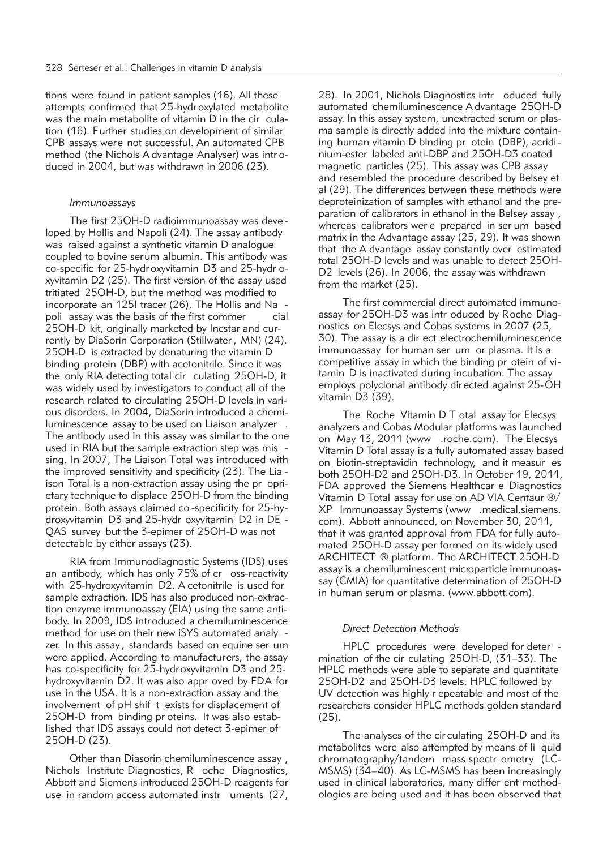tions were found in patient samples (16). All these attempts confirmed that 25-hydr oxylated metabolite was the main metabolite of vitamin D in the cir culation (16). Further studies on development of similar CPB assays were not successful. An automated CPB method (the Nichols A dvantage Analyser) was intr oduced in 2004, but was withdrawn in 2006 (23).

### *Immunoassays*

The first 25OH-D radioimmunoassay was deve loped by Hollis and Napoli (24). The assay antibody was raised against a synthetic vitamin D analogue coupled to bovine serum albumin. This antibody was co-specific for 25-hydroxyvitamin D3 and 25-hydr oxyvitamin D2 (25). The first version of the assay used tritiated 25OH-D, but the method was modified to incorporate an 125I tracer (26). The Hollis and Na poli assay was the basis of the first commer cial 25OH-D kit, originally marketed by Incstar and currently by DiaSorin Corporation (Stillwater , MN) (24). 25OH-D is extracted by denaturing the vitamin D binding protein (DBP) with acetonitrile. Since it was the only RIA detecting total cir culating 25OH-D, it was widely used by investigators to conduct all of the research related to circulating 25OH-D levels in various disorders. In 2004, DiaSorin introduced a chemiluminescence assay to be used on Liaison analyzer . The antibody used in this assay was similar to the one used in RIA but the sample extraction step was mis sing. In 2007, The Liaison Total was introduced with the improved sensitivity and specificity (23). The Lia ison Total is a non-extraction assay using the pr oprietary technique to displace 25OH-D from the binding protein. Both assays claimed co -specificity for 25-hy droxyvitamin D3 and 25-hydr oxyvitamin D2 in DE - QAS survey but the 3-epimer of 25OH-D was not detectable by either assays (23).

RIA from Immunodiagnostic Systems (IDS) uses an antibody, which has only 75% of cr oss-reactivity with 25-hydroxyvitamin D2. A cetonitrile is used for sample extraction. IDS has also produced non-extraction enzyme immunoassay (EIA) using the same antibody. In 2009, IDS introduced a chemiluminescence method for use on their new iSYS automated analy zer. In this assay , standards based on equine ser um were applied. According to manufacturers, the assay has co-specificity for 25-hydroxyvitamin D3 and 25 hydroxyvitamin D2. It was also appr oved by FDA for use in the USA. It is a non-extraction assay and the involvement of pH shif t exists for displacement of 25OH-D from binding pr oteins. It was also established that IDS assays could not detect 3-epimer of 25OH-D (23).

Other than Diasorin chemiluminescence assay , Nichols Institute Diagnostics, R oche Diagnostics, Abbott and Siemens introduced 25OH-D reagents for use in random access automated instr uments (27, 28). In 2001, Nichols Diagnostics intr oduced fully automated chemiluminescence A dvantage 25OH-D assay. In this assay system, unextracted serum or plasma sample is directly added into the mixture containing human vitamin D binding pr otein (DBP), acridi nium-ester labeled anti-DBP and 25OH-D3 coated magnetic particles (25). This assay was CPB assay and resembled the procedure described by Belsey et al (29). The differences between these methods were deproteinization of samples with ethanol and the preparation of calibrators in ethanol in the Belsey assay , whereas calibrators wer e prepared in ser um based matrix in the Advantage assay (25, 29). It was shown that the A dvantage assay constantly over estimated total 25OH-D levels and was unable to detect 25OH-D2 levels (26). In 2006, the assay was withdrawn from the market (25).

The first commercial direct automated immunoassay for 25OH-D3 was intr oduced by Roche Diagnostics on Elecsys and Cobas systems in 2007 (25, 30). The assay is a dir ect electrochemiluminescence immunoassay for human ser um or plasma. It is a competitive assay in which the binding pr otein of vitamin D is inactivated during incubation. The assay employs polyclonal antibody dir ected against 25-OH vitamin D3 (39).

The Roche Vitamin D T otal assay for Elecsys analyzers and Cobas Modular platforms was launched on May 13, 2011 (www .roche.com). The Elecsys Vitamin D Total assay is a fully automated assay based on biotin-streptavidin technology, and it measur es both 25OH-D2 and 25OH-D3. In October 19, 2011, FDA approved the Siemens Healthcar e Diagnostics Vitamin D Total assay for use on AD VIA Centaur ®/ XP Immunoassay Systems (www .medical.siemens. com). Abbott announced, on November 30, 2011, that it was granted appr oval from FDA for fully automated 25OH-D assay per formed on its widely used ARCHITECT ® platform. The ARCHITECT 25OH-D assay is a chemiluminescent microparticle immunoassay (CMIA) for quantitative determination of 25OH-D in human serum or plasma. (www.abbott.com).

### *Direct Detection Methods*

HPLC procedures were developed for deter mination of the cir culating 25OH-D, (31–33). The HPLC methods were able to separate and quantitate 25OH-D2 and 25OH-D3 levels. HPLC followed by UV detection was highly r epeatable and most of the researchers consider HPLC methods golden standard (25).

The analyses of the cir culating 25OH-D and its metabolites were also attempted by means of li quid chromatography/tandem mass spectr ometry (LC-MSMS) (34–40). As LC-MSMS has been increasingly used in clinical laboratories, many differ ent methodologies are being used and it has been obser ved that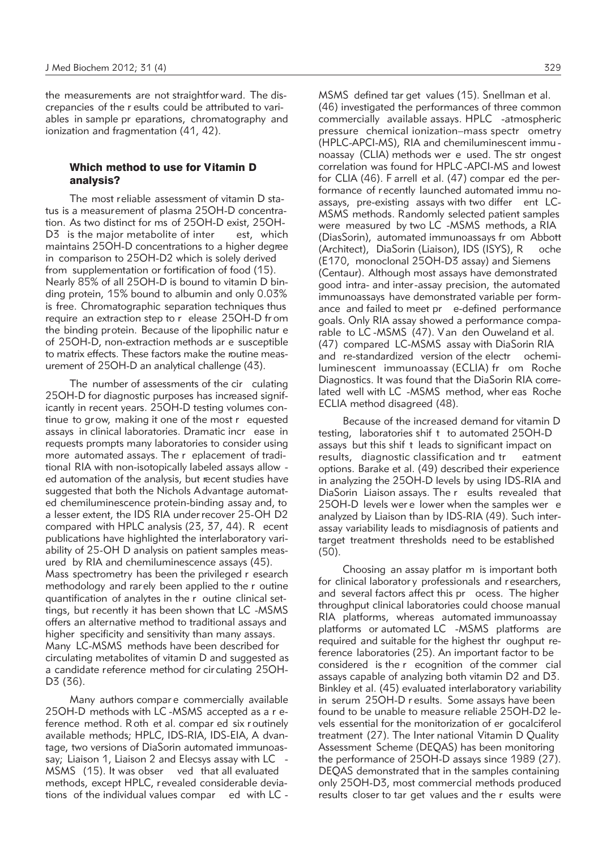the measurements are not straightfor ward. The discrepancies of the r esults could be attributed to variables in sample pr eparations, chromatography and ionization and fragmentation (41, 42).

# Which method to use for Vitamin D analysis?

The most reliable assessment of vitamin D status is a measurement of plasma 25OH-D concentration. As two distinct for ms of 25OH-D exist, 25OH-D3 is the major metabolite of inter est, which maintains 25OH-D concentrations to a higher degree in comparison to 25OH-D2 which is solely derived from supplementation or fortification of food (15). Nearly 85% of all 25OH-D is bound to vitamin D binding protein, 15% bound to albumin and only 0.03% is free. Chromatographic separation techniques thus require an extraction step to r elease 25OH-D fr om the binding protein. Because of the lipophilic natur e of 25OH-D, non-extraction methods ar e susceptible to matrix effects. These factors make the routine measurement of 25OH-D an analytical challenge (43).

The number of assessments of the cir culating 25OH-D for diagnostic purposes has increased significantly in recent years. 25OH-D testing volumes continue to grow, making it one of the most r equested assays in clinical laboratories. Dramatic incr ease in requests prompts many laboratories to consider using more automated assays. The r eplacement of traditional RIA with non-isotopically labeled assays allow ed automation of the analysis, but recent studies have suggested that both the Nichols Advantage automated chemiluminescence protein-binding assay and, to a lesser extent, the IDS RIA under recover 25-OH D2 compared with HPLC analysis (23, 37, 44). R ecent publications have highlighted the interlaboratory variability of 25-OH D analysis on patient samples measured by RIA and chemiluminescence assays (45). Mass spectrometry has been the privileged r esearch methodology and rarely been applied to the r outine quantification of analytes in the r outine clinical settings, but recently it has been shown that LC -MSMS offers an alternative method to traditional assays and higher specificity and sensitivity than many assays. Many LC-MSMS methods have been described for circulating metabolites of vitamin D and suggested as a candidate reference method for cir culating 25OH-D3 (36).

Many authors compar e commercially available 25OH-D methods with LC-MSMS accepted as a r eference method. Roth et al. compar ed six r outinely available methods; HPLC, IDS-RIA, IDS-EIA, A dvantage, two versions of DiaSorin automated immunoassay; Liaison 1, Liaison 2 and Elecsys assay with LC -MSMS (15). It was obser ved that all evaluated methods, except HPLC, revealed considerable deviations of the individual values compar ed with LC - MSMS defined tar get values (15). Snellman et al. (46) in vestigated the performances of three common commercially available assays. HPLC -atmospheric pressure chemical ionization–mass spectr ometry (HPLC-APCI-MS), RIA and chemiluminescent immu no assay (CLIA) methods wer e used. The str ongest correlation was found for HPLC -APCI-MS and lowest for CLIA (46). F arrell et al. (47) compar ed the performance of recently launched automated immu noassays, pre-existing assays with two differ ent LC-MSMS methods. Randomly selected patient samples were measured by two LC -MSMS methods, a RIA (Dias Sorin), automated immunoassays fr om Abbott (Architect), DiaSorin (Liaison), IDS (ISYS), R oche (E170, monoclonal 25OH-D3 assay) and Siemens (Centaur). Although most assays have demonstrated good intra- and inter-assay precision, the automated immunoassays have demonstrated variable per formance and failed to meet pr e-defined performance goals. Only RIA assay showed a performance comparable to LC -MSMS (47). Van den Ouweland et al. (47) compared LC-MSMS assay with DiaSorin RIA and re-standardized version of the electr ochemiluminescent immunoassay (ECLIA) fr om Roche Diagnostics. It was found that the DiaSorin RIA correlated well with LC -MSMS method, wher eas Roche ECLIA method disagreed (48).

Because of the increased demand for vitamin D testing, laboratories shif t to automated 25OH-D assays but this shif t leads to significant impact on results, diagnostic classification and tr eatment options. Barake et al. (49) described their experience in analyzing the 25OH-D levels by using IDS-RIA and DiaSorin Liaison assays. The r esults revealed that 25OH-D levels wer e lower when the samples wer e analyzed by Liaison than by IDS-RIA (49). Such interassay variability leads to misdiagnosis of patients and target treatment thresholds need to be established (50).

Choosing an assay platfor m is important both for clinical laborator y professionals and r esearchers, and several factors affect this pr ocess. The higher throughput clinical laboratories could choose manual RIA platforms, whereas automated immunoassay platforms or automated LC -MSMS platforms are required and suitable for the highest thr oughput reference laboratories (25). An important factor to be considered is the r ecognition of the commer cial assays capable of analyzing both vitamin D2 and D3. Binkley et al. (45) evaluated interlaboratory variability in serum 25OH-D r esults. Some assays have been found to be unable to measure reliable 25OH-D2 levels essential for the monitorization of er gocalciferol treatment (27). The Inter national Vitamin D Quality Assessment Scheme (DEQAS) has been monitoring the performance of 25OH-D assays since 1989 (27). DEQAS demonstrated that in the samples containing only 25OH-D3, most commercial methods produced results closer to tar get values and the r esults were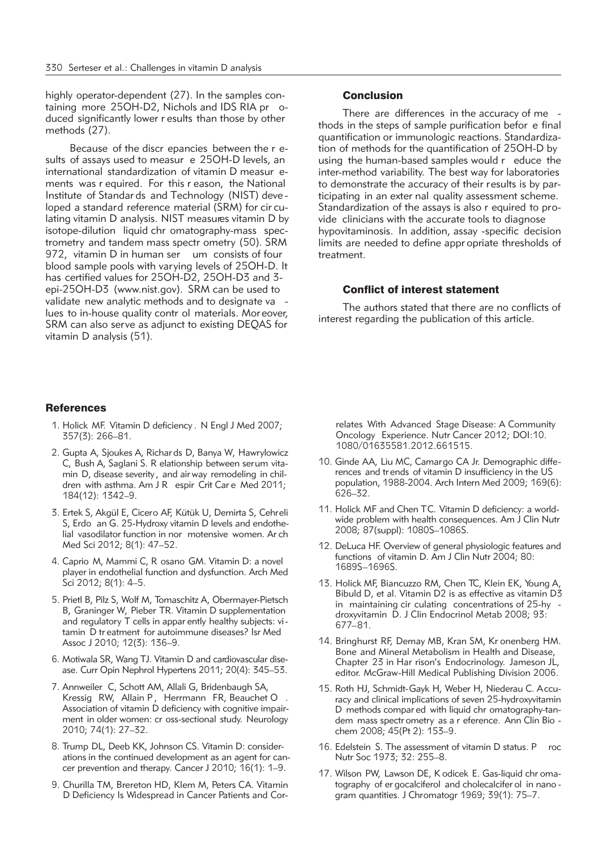highly operator-dependent (27). In the samples containing more 25OH-D2, Nichols and IDS RIA pr oduced significantly lower r esults than those by other methods (27).

Because of the discr epancies between the r esults of assays used to measur e 25OH-D levels, an international standardization of vitamin D measur ements was r equired. For this r eason, the National Institute of Standar ds and Technology (NIST) deve loped a standard reference material (SRM) for cir culating vitamin D analysis. NIST measures vitamin D by isotope-dilution liquid chr omatography-mass spectrometry and tandem mass spectr ometry (50). SRM 972, vitamin D in human ser um consists of four blood sample pools with varying levels of 25OH-D. It has certified values for 25OH-D2, 25OH-D3 and 3 epi-25OH-D3 (www.nist.gov). SRM can be used to validate new analytic methods and to designate va lues to in-house quality contr ol materials. Moreover, SRM can also serve as adjunct to existing DEQAS for vitamin D analysis (51).

# **Conclusion**

There are differences in the accuracy of me thods in the steps of sample purification befor e final quantification or immunologic reactions. Standardization of methods for the quantification of 25OH-D by using the human-based samples would r educe the inter-method variability. The best way for laboratories to demonstrate the accuracy of their results is by participating in an exter nal quality assessment scheme. Standardization of the assays is also r equired to provide clinicians with the accurate tools to diagnose hypovitaminosis. In addition, assay -specific decision limits are needed to define appr opriate thresholds of treatment.

# Conflict of interest statement

The authors stated that there are no conflicts of interest regarding the publication of this article.

## **References**

- 1. Holick MF. Vitamin D deficiency . N Engl J Med 2007; 357(3): 266–81.
- 2. Gupta A, Sjoukes A, Richar ds D, Banya W, Hawrylowicz C, Bush A, Saglani S. R elationship between serum vitamin D, disease severity , and air way remodeling in children with asthma. Am J R espir Crit Car e Med 2011; 184(12): 1342–9.
- 3. Ertek S, Akgül E, Cicero AF, Kütük U, Demirta S, Cehreli S, Erdo an G. 25-Hydroxy vitamin D levels and endothelial vasodilator function in nor motensive women. Ar ch Med Sci 2012; 8(1): 47–52.
- 4. Caprio M, Mammi C, R osano GM. Vitamin D: a novel player in endothelial function and dysfunction. Arch Med Sci 2012; 8(1): 4–5.
- 5. Prietl B, Pilz S, Wolf M, Tomaschitz A, Obermayer-Pietsch B, Graninger W, Pieber TR. Vitamin D supplementation and regulatory T cells in appar ently healthy subjects: vi tamin D tr eatment for autoimmune diseases? Isr Med Assoc J 2010; 12(3): 136–9.
- 6. Motiwala SR, Wang TJ. Vitamin D and cardiovascular disease. Curr Opin Nephrol Hypertens 2011; 20(4): 345-53.
- 7. Annweiler C, Schott AM, Allali G, Bridenbaugh SA, Kressig RW, Allain P, Herrmann FR, Beauchet O Association of vitamin D deficiency with cognitive impairment in older women: cr oss-sectional study. Neurology 2010; 74(1): 27–32.
- 8. Trump DL, Deeb KK, Johnson CS. Vitamin D: considerations in the continued development as an agent for cancer prevention and therapy. Cancer J 2010; 16(1): 1–9.
- 9. Churilla TM, Brereton HD, Klem M, Peters CA. Vitamin D Deficiency Is Widespread in Cancer Patients and Cor-

relates With Advanced Stage Disease: A Community Oncology Experience. Nutr Cancer 2012; DOI:10. 1080/01635581.2012.661515.

- 10. Ginde AA, Liu MC, Camargo CA Jr. Demographic diffe rences and tr ends of vitamin D insufficiency in the US population, 1988-2004. Arch Intern Med 2009; 169(6): 626–32.
- 11. Holick MF and Chen TC. Vitamin D deficiency: a worldwide problem with health consequences. Am J Clin Nutr 2008; 87(suppl): 1080S–1086S.
- 12. DeLuca HF. Overview of general physiologic features and functions of vitamin D. Am J Clin Nutr 2004; 80: 1689S–1696S.
- 13. Holick MF, Biancuzzo RM, Chen TC, Klein EK, Young A, Bibuld D, et al. Vitamin D2 is as effective as vitamin D3 in maintaining cir culating concentrations of 25-hy droxy vitamin D. J Clin Endocrinol Metab 2008; 93: 677–81.
- 14. Bringhurst RF, Demay MB, Kran SM, Kr onenberg HM. Bone and Mineral Metabolism in Health and Disease, Chapter 23 in Har rison's Endocrinology. Jameson JL, editor. McGraw-Hill Medical Publishing Division 2006.
- 15. Roth HJ, Schmidt-Gayk H, Weber H, Niederau C. Accuracy and clinical implications of seven 25-hydroxyvitamin D methods compar ed with liquid chr omatography-tandem mass spectr ometry as a r eference. Ann Clin Bio chem 2008; 45(Pt 2): 153–9.
- 16. Edelstein S. The assessment of vitamin D status. P roc Nutr Soc 1973; 32: 255–8.
- 17. Wilson PW, Lawson DE, K odicek E. Gas-liquid chr omatography of er gocalciferol and cholecalcifer ol in nano gram quantities. J Chromatogr 1969; 39(1): 75–7.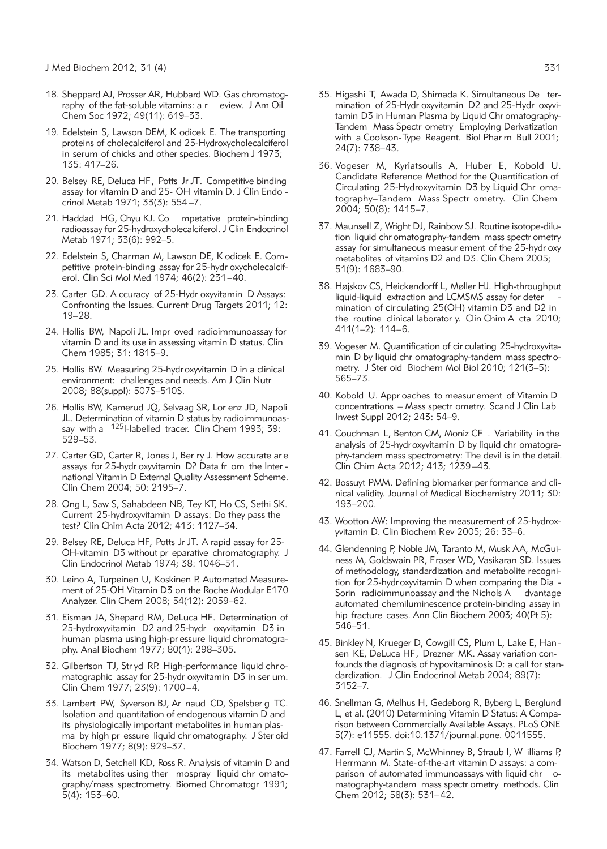- 18. Sheppard AJ, Prosser AR, Hubbard WD. Gas chromatography of the fat-soluble vitamins: a r eview. J Am Oil Chem Soc 1972; 49(11): 619–33.
- 19. Edelstein S, Lawson DEM, K odicek E. The transporting proteins of cholecalciferol and 25-Hydroxycholecalciferol in serum of chicks and other species. Biochem J 1973; 135: 417–26.
- 20. Belsey RE, Deluca HF, Potts Jr JT. Competitive binding assay for vitamin D and 25- OH vitamin D. J Clin Endo crinol Metab 1971; 33(3): 554–7.
- 21. Haddad HG, Chyu KJ. Co mpetative protein-binding radioassay for 25-hydroxycholecalciferol. J Clin Endocrinol Me tab 1971; 33(6): 992–5.
- 22. Edelstein S, Charman M, Lawson DE, K odicek E. Com petitive protein-binding assay for 25-hydr oxycholecalciferol. Clin Sci Mol Med 1974; 46(2): 231–40.
- 23. Carter GD. A ccuracy of 25-Hydr oxyvitamin D Assays: Confronting the Issues. Current Drug Targets 2011; 12: 19–28.
- 24. Hollis BW, Napoli JL. Impr oved radioimmunoassay for vitamin D and its use in assessing vitamin D status. Clin Chem 1985; 31: 1815–9.
- 25. Hollis BW. Measuring 25-hydroxyvitamin D in a clinical environment: challenges and needs. Am J Clin Nutr 2008; 88(suppl): 507S–510S.
- 26. Hollis BW, Kamerud JQ, Selvaag SR, Lor enz JD, Napoli JL. Determination of vitamin D status by radioimmunoassay with a <sup>125</sup>I-labelled tracer. Clin Chem 1993; 39: 529–53.
- 27. Carter GD, Carter R, Jones J, Ber ry J. How accurate ar e assays for 25-hydr oxyvitamin D? Data fr om the Inter national Vitamin D External Quality Assessment Scheme. Clin Chem 2004; 50: 2195–7.
- 28. Ong L, Saw S, Sahabdeen NB, Tey KT, Ho CS, Sethi SK. Current 25-hydroxyvitamin D assays: Do they pass the test? Clin Chim Acta 2012; 413: 1127–34.
- 29. Belsey RE, Deluca HF, Potts Jr JT. A rapid assay for 25- OH-vitamin D3 without pr eparative chromatography. J Clin Endocrinol Metab 1974; 38: 1046–51.
- 30. Leino A, Turpeinen U, Koskinen P. Automated Measure ment of 25-OH Vitamin D3 on the Roche Modular E170 Analyzer. Clin Chem 2008; 54(12): 2059–62.
- 31. Eisman JA, Shepard RM, DeLuca HF. Determination of 25-hydroxyvitamin D2 and 25-hydr oxyvitamin D3 in human plasma using high-pr essure liquid chromatography. Anal Biochem 1977; 80(1): 298–305.
- 32. Gilbertson TJ, Str yd RP. High-performance liquid chr omatographic assay for 25-hydr oxyvitamin D3 in ser um. Clin Chem 1977; 23(9): 1700–4.
- 33. Lambert PW, Syverson BJ, Ar naud CD, Spelsber g TC. Isolation and quantitation of endogenous vitamin D and its physiologically important metabolites in human plasma by high pr essure liquid chr omatography. J Ster oid Biochem 1977; 8(9): 929–37.
- 34. Watson D, Setchell KD, Ross R. Analysis of vitamin D and its metabolites using ther mospray liquid chr omatography/mass spectrometry. Biomed Chr omatogr 1991; 5(4): 153–60.
- 35. Higashi T, Awada D, Shimada K. Simultaneous De ter mination of 25-Hydr oxyvitamin D2 and 25-Hydr oxyvitamin D3 in Human Plasma by Liquid Chr omatography-Tandem Mass Spectr ometry Employing Derivatization with a Cookson-Type Reagent. Biol Phar m Bull 2001; 24(7): 738–43.
- 36. Vogeser M, Kyriatsoulis A, Huber E, Kobold U. Candidate Reference Method for the Quantification of Circulating 25-Hydroxyvitamin D3 by Liquid Chr omatography–Tandem Mass Spectr ometry. Clin Chem 2004; 50(8): 1415–7.
- 37. Maunsell Z, Wright DJ, Rainbow SJ. Routine isotope-dilution liquid chr omatography-tandem mass spectr ometry assay for simultaneous measur ement of the 25-hydr oxy metabolites of vitamins D2 and D3. Clin Chem 2005; 51(9): 1683–90.
- 38. Højskov CS, Heickendorff L, Møller HJ. High-throughput liquid-liquid extraction and LCMSMS assay for deter mination of circulating 25(OH) vitamin D3 and D2 in the routine clinical laborator y. Clin Chim A cta 2010; 411(1–2): 114–6.
- 39. Vogeser M. Quantification of cir culating 25-hydroxyvitamin D by liquid chr omatography-tandem mass spectrometry. J Ster oid Biochem Mol Biol 2010; 121(3–5): 565–73.
- 40. Kobold U. Appr oaches to measur ement of Vitamin D concentrations – Mass spectr ometry. Scand J Clin Lab Invest Suppl 2012; 243: 54–9.
- 41. Couchman L, Benton CM, Moniz CF . Variability in the analysis of 25-hydroxyvitamin D by liquid chr omatography-tandem mass spectrometry: The devil is in the detail. Clin Chim Acta 2012; 413; 1239–43.
- 42. Bossuyt PMM. Defining biomarker per formance and clinical validity. Journal of Medical Biochemistry 2011; 30: 193–200.
- 43. Wootton AW: Improving the measurement of 25-hydroxyvitamin D. Clin Biochem Rev 2005; 26: 33–6.
- 44. Glendenning P, Noble JM, Taranto M, Musk AA, McGuiness M, Goldswain PR, Fraser WD, Vasikaran SD. Issues of methodology, standardization and metabolite recognition for 25-hydroxyvitamin D when comparing the Dia - Sorin radioimmunoassay and the Nichols A dvantage automated chemiluminescence protein-binding assay in hip fracture cases. Ann Clin Biochem 2003; 40(Pt 5): 546–51.
- 45. Binkley N, Krueger D, Cowgill CS, Plum L, Lake E, Han sen KE, DeLuca HF, Drezner MK. Assay variation confounds the diagnosis of hypovitaminosis D: a call for standardization. J Clin Endocrinol Metab 2004; 89(7): 3152–7.
- 46. Snellman G, Melhus H, Gedeborg R, Byberg L, Berglund L, et al. (2010) Determining Vitamin D Status: A Comparison between Commercially Available Assays. PLoS ONE 5(7): e11555. doi:10.1371/journal. pone. 0011555.
- 47. Farrell CJ, Martin S, McWhinney B, Straub I, W illiams P, Herrmann M. State-of-the-art vitamin D assays: a comparison of automated immunoassays with liquid chr omatography-tandem mass spectr ometry methods. Clin Chem 2012; 58(3): 531–42.